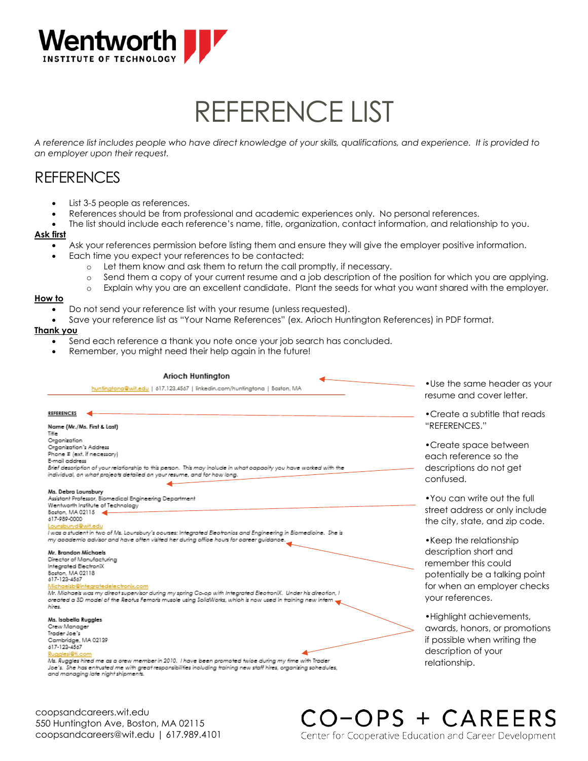

# REFERENCE LIST

*A reference list includes people who have direct knowledge of your skills, qualifications, and experience. It is provided to an employer upon their request.* 

## **REFERENCES**

- List 3-5 people as references.
- References should be from professional and academic experiences only. No personal references.
- The list should include each reference's name, title, organization, contact information, and relationship to you.

#### **Ask first**

- Ask your references permission before listing them and ensure they will give the employer positive information.
- Each time you expect your references to be contacted:
	- o Let them know and ask them to return the call promptly, if necessary.
	- o Send them a copy of your current resume and a job description of the position for which you are applying.
	- o Explain why you are an excellent candidate. Plant the seeds for what you want shared with the employer.

#### **How to**

- Do not send your reference list with your resume (unless requested).
- Save your reference list as "Your Name References" (ex. Arioch Huntington References) in PDF format.

#### **Thank you**

- Send each reference a thank you note once your job search has concluded.
- Remember, you might need their help again in the future!

| <b>Arioch Huntington</b><br>hunfingtona@wit.edu   617.123.4567   linkedin.com/hunfingtona   Boston, MA                                                                                                                                                                                                                                                                                            | $\bullet$ Use the same he<br>resume and cove                                                           |
|---------------------------------------------------------------------------------------------------------------------------------------------------------------------------------------------------------------------------------------------------------------------------------------------------------------------------------------------------------------------------------------------------|--------------------------------------------------------------------------------------------------------|
| <b>REFERENCES</b><br>Name (Mr./Ms. First & Last)                                                                                                                                                                                                                                                                                                                                                  | • Create a subtitle<br>"REFERENCES."                                                                   |
| Title<br>Organization<br>Organization's Address<br>Phone # (ext. if necessary)<br>E-mail address<br>Brief desoription of your relationship to this person. This may inolude in what aapaoity you have worked with the<br>individual, on what projects detailed on your resume, and for how long.                                                                                                  | • Create space be<br>each reference so<br>descriptions do no<br>confused.                              |
| Ms. Debra Lounsbury<br>Assistant Professor, Biomedical Engineering Department<br>Wentworth Institute of Technology<br>Baston, MA 02115<br>617-989-0000<br>Lounsburyd@wit.edu<br>I was a student in two of Ms. Lounsbury's oourses: Integrated Electronios and Engineering in Biomedicine. She is<br>my apademio advisor and have often visited her during office hours for oareer guidance.       | • You can write ou<br>street address or a<br>the city, state, and<br>• Keep the relation               |
| Mr. Brandon Michaels<br>Director of Manufacturing<br>Integrated ElectroniX<br>Baston, MA 02118<br>617-123-4567<br>Michaelsb@integratedelectronix.com<br>Mr. Michaels was my direct supervisor during my spring Co-op with Integrated ElectroniX. Under his direction, I<br>, oreated a 3D model of the Reotus Femoris musole using SolidWarks, which is now used in training new intern<br>hires. | description short o<br>remember this co<br>potentially be a to<br>for when an empl<br>your references. |
| Ms. Isabella Ruggles<br>Crew Manager<br>Trader Joe's<br>Cambridge, MA 02139<br>617-123-4567<br>Rugglesi@ti.com<br>Ms. Ruggles hired me as a orew member in 2010. Thave been promoted twipe during my time with Trader<br>Joe's. She has entrusted me with great responsibilities inoluding training new staff hires, organizing sohedules,<br>and managing late night shipments.                  | • Highlight achieve<br>awards, honors, o<br>if possible when w<br>description of you<br>relationship.  |

coopsandcareers.wit.edu 550 Huntington Ave, Boston, MA 02115 coopsandcareers@wit.edu | 617.989.4101 ader as your r letter.

that reads

etween p the ot get

f the full only include d zip code.

nship and uld alking point loyer checks

ements, r promotions *riting the* description of your

CO-OPS + CAREERS

Center for Cooperative Education and Career Development